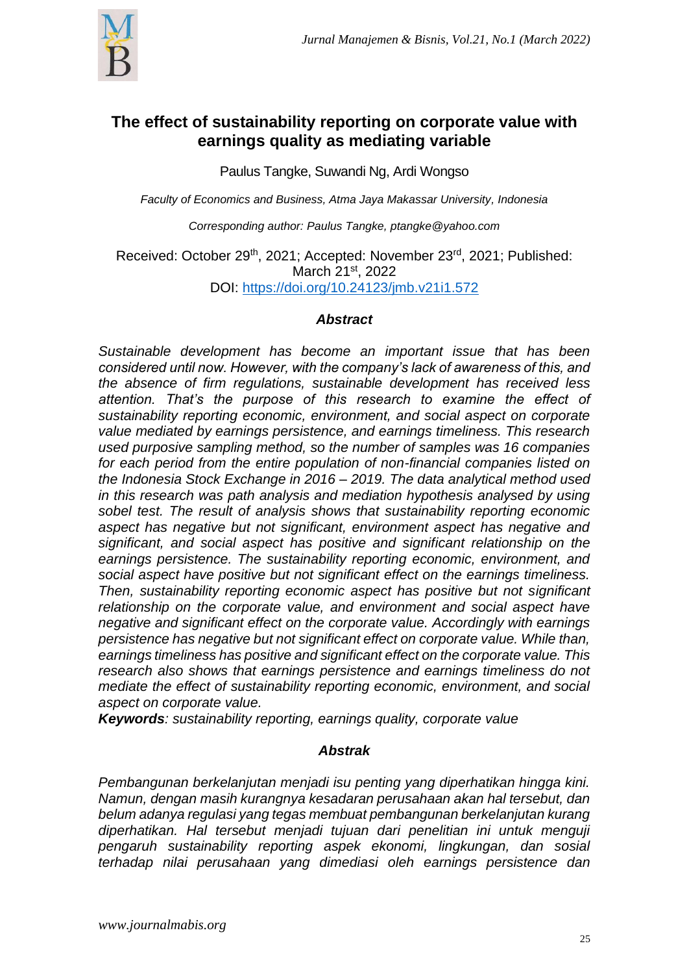

# **The effect of sustainability reporting on corporate value with earnings quality as mediating variable**

Paulus Tangke, Suwandi Ng, Ardi Wongso

*Faculty of Economics and Business, Atma Jaya Makassar University, Indonesia*

*Corresponding author: Paulus Tangke, ptangke@yahoo.com*

Received: October 29<sup>th</sup>, 2021; Accepted: November 23<sup>rd</sup>, 2021; Published: March 21st, 2022 DOI: <https://doi.org/10.24123/jmb.v21i1.572>

# *Abstract*

*Sustainable development has become an important issue that has been considered until now. However, with the company's lack of awareness of this, and the absence of firm regulations, sustainable development has received less attention. That's the purpose of this research to examine the effect of sustainability reporting economic, environment, and social aspect on corporate value mediated by earnings persistence, and earnings timeliness. This research used purposive sampling method, so the number of samples was 16 companies for each period from the entire population of non-financial companies listed on the Indonesia Stock Exchange in 2016 – 2019. The data analytical method used in this research was path analysis and mediation hypothesis analysed by using sobel test. The result of analysis shows that sustainability reporting economic aspect has negative but not significant, environment aspect has negative and significant, and social aspect has positive and significant relationship on the earnings persistence. The sustainability reporting economic, environment, and social aspect have positive but not significant effect on the earnings timeliness. Then, sustainability reporting economic aspect has positive but not significant relationship on the corporate value, and environment and social aspect have negative and significant effect on the corporate value. Accordingly with earnings persistence has negative but not significant effect on corporate value. While than, earnings timeliness has positive and significant effect on the corporate value. This research also shows that earnings persistence and earnings timeliness do not mediate the effect of sustainability reporting economic, environment, and social aspect on corporate value.*

*Keywords: sustainability reporting, earnings quality, corporate value*

# *Abstrak*

*Pembangunan berkelanjutan menjadi isu penting yang diperhatikan hingga kini. Namun, dengan masih kurangnya kesadaran perusahaan akan hal tersebut, dan belum adanya regulasi yang tegas membuat pembangunan berkelanjutan kurang diperhatikan. Hal tersebut menjadi tujuan dari penelitian ini untuk menguji pengaruh sustainability reporting aspek ekonomi, lingkungan, dan sosial terhadap nilai perusahaan yang dimediasi oleh earnings persistence dan*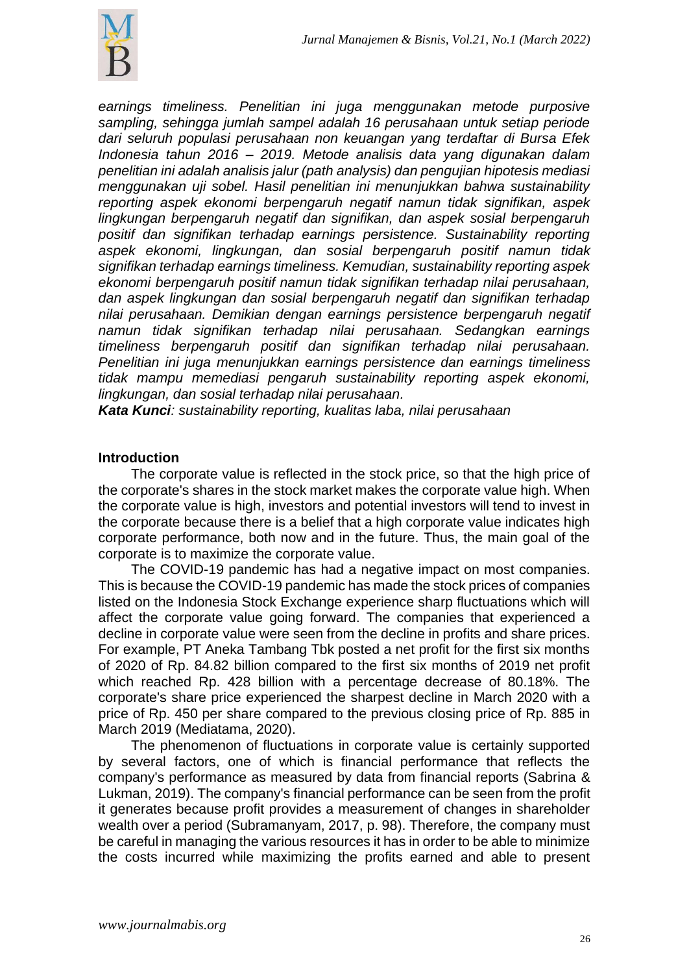

*earnings timeliness. Penelitian ini juga menggunakan metode purposive sampling, sehingga jumlah sampel adalah 16 perusahaan untuk setiap periode dari seluruh populasi perusahaan non keuangan yang terdaftar di Bursa Efek Indonesia tahun 2016 – 2019. Metode analisis data yang digunakan dalam penelitian ini adalah analisis jalur (path analysis) dan pengujian hipotesis mediasi menggunakan uji sobel. Hasil penelitian ini menunjukkan bahwa sustainability reporting aspek ekonomi berpengaruh negatif namun tidak signifikan, aspek lingkungan berpengaruh negatif dan signifikan, dan aspek sosial berpengaruh positif dan signifikan terhadap earnings persistence. Sustainability reporting aspek ekonomi, lingkungan, dan sosial berpengaruh positif namun tidak signifikan terhadap earnings timeliness. Kemudian, sustainability reporting aspek ekonomi berpengaruh positif namun tidak signifikan terhadap nilai perusahaan, dan aspek lingkungan dan sosial berpengaruh negatif dan signifikan terhadap nilai perusahaan. Demikian dengan earnings persistence berpengaruh negatif namun tidak signifikan terhadap nilai perusahaan. Sedangkan earnings timeliness berpengaruh positif dan signifikan terhadap nilai perusahaan. Penelitian ini juga menunjukkan earnings persistence dan earnings timeliness tidak mampu memediasi pengaruh sustainability reporting aspek ekonomi, lingkungan, dan sosial terhadap nilai perusahaan.* 

*Kata Kunci: sustainability reporting, kualitas laba, nilai perusahaan*

#### **Introduction**

The corporate value is reflected in the stock price, so that the high price of the corporate's shares in the stock market makes the corporate value high. When the corporate value is high, investors and potential investors will tend to invest in the corporate because there is a belief that a high corporate value indicates high corporate performance, both now and in the future. Thus, the main goal of the corporate is to maximize the corporate value.

The COVID-19 pandemic has had a negative impact on most companies. This is because the COVID-19 pandemic has made the stock prices of companies listed on the Indonesia Stock Exchange experience sharp fluctuations which will affect the corporate value going forward. The companies that experienced a decline in corporate value were seen from the decline in profits and share prices. For example, PT Aneka Tambang Tbk posted a net profit for the first six months of 2020 of Rp. 84.82 billion compared to the first six months of 2019 net profit which reached Rp. 428 billion with a percentage decrease of 80.18%. The corporate's share price experienced the sharpest decline in March 2020 with a price of Rp. 450 per share compared to the previous closing price of Rp. 885 in March 2019 (Mediatama, 2020).

The phenomenon of fluctuations in corporate value is certainly supported by several factors, one of which is financial performance that reflects the company's performance as measured by data from financial reports (Sabrina & Lukman, 2019). The company's financial performance can be seen from the profit it generates because profit provides a measurement of changes in shareholder wealth over a period (Subramanyam, 2017, p. 98). Therefore, the company must be careful in managing the various resources it has in order to be able to minimize the costs incurred while maximizing the profits earned and able to present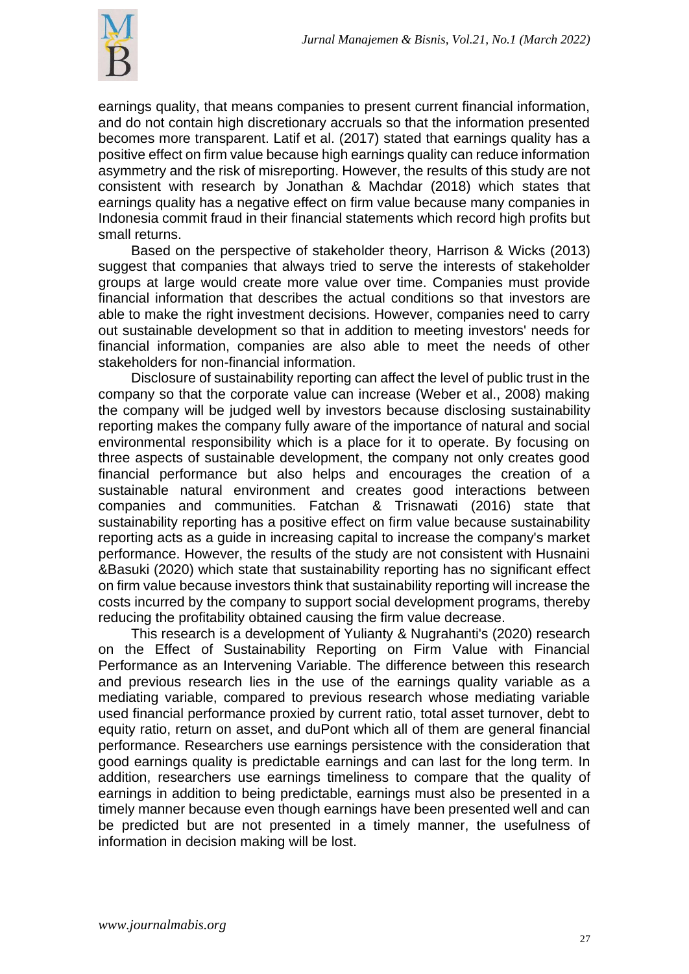

earnings quality, that means companies to present current financial information, and do not contain high discretionary accruals so that the information presented becomes more transparent. Latif et al. (2017) stated that earnings quality has a positive effect on firm value because high earnings quality can reduce information asymmetry and the risk of misreporting. However, the results of this study are not consistent with research by Jonathan & Machdar (2018) which states that earnings quality has a negative effect on firm value because many companies in Indonesia commit fraud in their financial statements which record high profits but small returns.

Based on the perspective of stakeholder theory, Harrison & Wicks (2013) suggest that companies that always tried to serve the interests of stakeholder groups at large would create more value over time. Companies must provide financial information that describes the actual conditions so that investors are able to make the right investment decisions. However, companies need to carry out sustainable development so that in addition to meeting investors' needs for financial information, companies are also able to meet the needs of other stakeholders for non-financial information.

Disclosure of sustainability reporting can affect the level of public trust in the company so that the corporate value can increase (Weber et al., 2008) making the company will be judged well by investors because disclosing sustainability reporting makes the company fully aware of the importance of natural and social environmental responsibility which is a place for it to operate. By focusing on three aspects of sustainable development, the company not only creates good financial performance but also helps and encourages the creation of a sustainable natural environment and creates good interactions between companies and communities. Fatchan & Trisnawati (2016) state that sustainability reporting has a positive effect on firm value because sustainability reporting acts as a guide in increasing capital to increase the company's market performance. However, the results of the study are not consistent with Husnaini &Basuki (2020) which state that sustainability reporting has no significant effect on firm value because investors think that sustainability reporting will increase the costs incurred by the company to support social development programs, thereby reducing the profitability obtained causing the firm value decrease.

This research is a development of Yulianty & Nugrahanti's (2020) research on the Effect of Sustainability Reporting on Firm Value with Financial Performance as an Intervening Variable. The difference between this research and previous research lies in the use of the earnings quality variable as a mediating variable, compared to previous research whose mediating variable used financial performance proxied by current ratio, total asset turnover, debt to equity ratio, return on asset, and duPont which all of them are general financial performance. Researchers use earnings persistence with the consideration that good earnings quality is predictable earnings and can last for the long term. In addition, researchers use earnings timeliness to compare that the quality of earnings in addition to being predictable, earnings must also be presented in a timely manner because even though earnings have been presented well and can be predicted but are not presented in a timely manner, the usefulness of information in decision making will be lost.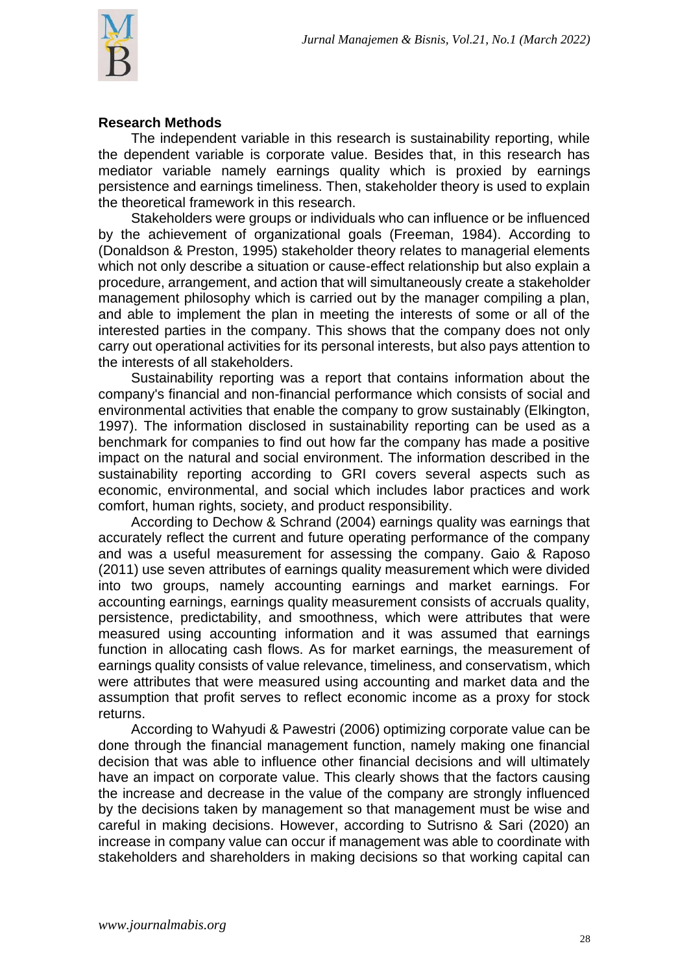

### **Research Methods**

The independent variable in this research is sustainability reporting, while the dependent variable is corporate value. Besides that, in this research has mediator variable namely earnings quality which is proxied by earnings persistence and earnings timeliness. Then, stakeholder theory is used to explain the theoretical framework in this research.

Stakeholders were groups or individuals who can influence or be influenced by the achievement of organizational goals (Freeman, 1984). According to (Donaldson & Preston, 1995) stakeholder theory relates to managerial elements which not only describe a situation or cause-effect relationship but also explain a procedure, arrangement, and action that will simultaneously create a stakeholder management philosophy which is carried out by the manager compiling a plan, and able to implement the plan in meeting the interests of some or all of the interested parties in the company. This shows that the company does not only carry out operational activities for its personal interests, but also pays attention to the interests of all stakeholders.

Sustainability reporting was a report that contains information about the company's financial and non-financial performance which consists of social and environmental activities that enable the company to grow sustainably (Elkington, 1997). The information disclosed in sustainability reporting can be used as a benchmark for companies to find out how far the company has made a positive impact on the natural and social environment. The information described in the sustainability reporting according to GRI covers several aspects such as economic, environmental, and social which includes labor practices and work comfort, human rights, society, and product responsibility.

According to Dechow & Schrand (2004) earnings quality was earnings that accurately reflect the current and future operating performance of the company and was a useful measurement for assessing the company. Gaio & Raposo (2011) use seven attributes of earnings quality measurement which were divided into two groups, namely accounting earnings and market earnings. For accounting earnings, earnings quality measurement consists of accruals quality, persistence, predictability, and smoothness, which were attributes that were measured using accounting information and it was assumed that earnings function in allocating cash flows. As for market earnings, the measurement of earnings quality consists of value relevance, timeliness, and conservatism, which were attributes that were measured using accounting and market data and the assumption that profit serves to reflect economic income as a proxy for stock returns.

According to Wahyudi & Pawestri (2006) optimizing corporate value can be done through the financial management function, namely making one financial decision that was able to influence other financial decisions and will ultimately have an impact on corporate value. This clearly shows that the factors causing the increase and decrease in the value of the company are strongly influenced by the decisions taken by management so that management must be wise and careful in making decisions. However, according to Sutrisno & Sari (2020) an increase in company value can occur if management was able to coordinate with stakeholders and shareholders in making decisions so that working capital can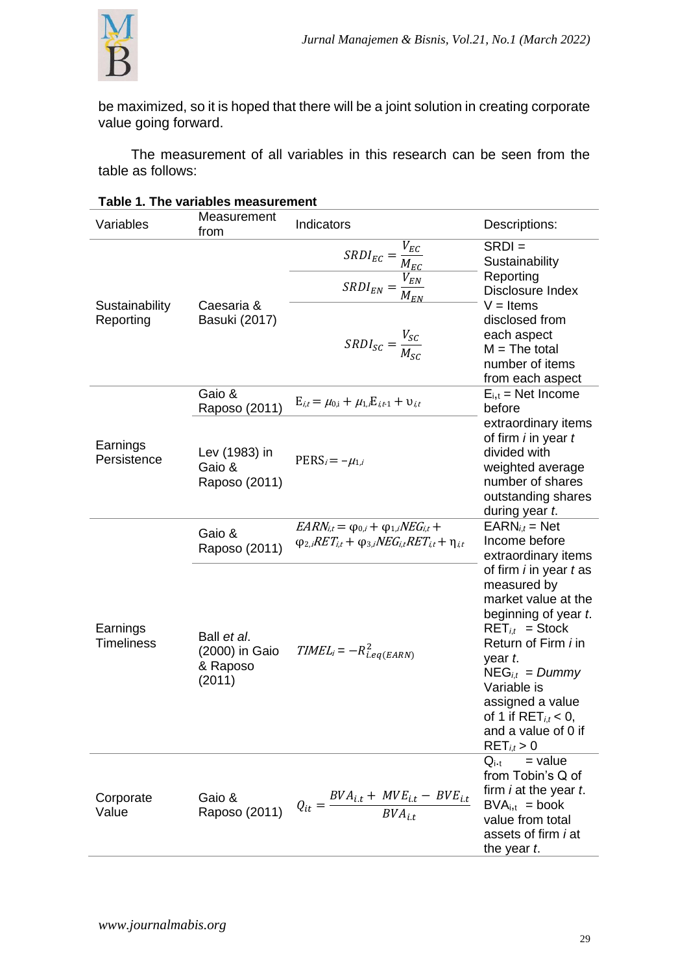

be maximized, so it is hoped that there will be a joint solution in creating corporate value going forward.

The measurement of all variables in this research can be seen from the table as follows:

| Variables                     | Measurement<br>from                                 | Indicators                                                                                                                          | Descriptions:                                                                                                                                                                                                                                                                                      |  |
|-------------------------------|-----------------------------------------------------|-------------------------------------------------------------------------------------------------------------------------------------|----------------------------------------------------------------------------------------------------------------------------------------------------------------------------------------------------------------------------------------------------------------------------------------------------|--|
| Sustainability<br>Reporting   | Caesaria &<br>Basuki (2017)                         | $\frac{SRDI_{EC}}{SRDI_{EN}} = \frac{V_{EC}}{W_{EN}}$<br>$SRDI_{EN} = \frac{V_{EN}}{M_{EN}}$<br>$SRDI_{SC} = \frac{V_{SC}}{M_{SC}}$ | $SRDI =$<br>Sustainability<br>Reporting<br>Disclosure Index<br>$V =$ Items<br>disclosed from<br>each aspect<br>$M = The total$<br>number of items                                                                                                                                                  |  |
|                               | Gaio &<br>Raposo (2011)                             | $E_{i,t} = \mu_{0,i} + \mu_{1,i}E_{i,t-1} + \nu_{i,t}$                                                                              | from each aspect<br>$E_{i,t}$ = Net Income<br>before                                                                                                                                                                                                                                               |  |
| Earnings<br>Persistence       | Lev (1983) in<br>Gaio &<br>Raposo (2011)            | $PERS_i = -\mu_{1,i}$                                                                                                               | extraordinary items<br>of firm <i>i</i> in year t<br>divided with<br>weighted average<br>number of shares<br>outstanding shares<br>during year t.                                                                                                                                                  |  |
|                               | Gaio &<br>Raposo (2011)                             | $EARN_{it} = \varphi_{0,i} + \varphi_{1,i} NEG_{it} +$<br>$\varphi_{2,i}RET_{i,t} + \varphi_{3,i}NEG_{i,t}RET_{i,t} + \eta_{i,t}$   | $EARN_{i,t} = Net$<br>Income before<br>extraordinary items                                                                                                                                                                                                                                         |  |
| Earnings<br><b>Timeliness</b> | Ball et al.<br>(2000) in Gaio<br>& Raposo<br>(2011) | $TIMEL_i = -R_{i.eq(EARN)}^2$                                                                                                       | of firm <i>i</i> in year <i>t</i> as<br>measured by<br>market value at the<br>beginning of year t.<br>$RET_{i,t}$ = Stock<br>Return of Firm <i>i</i> in<br>year t.<br>$NEG_{i,t} = Dummy$<br>Variable is<br>assigned a value<br>of 1 if $RET_{i,t}$ < 0,<br>and a value of 0 if<br>$RET_{i,t} > 0$ |  |
| Corporate<br>Value            | Gaio &<br>Raposo (2011)                             | $Q_{it} = \frac{BVA_{i,t} + MVE_{i,t} - BVE_{i,t}}{BVA_{i,t}}$                                                                      | $=$ value<br>$Q_{i \cdot t}$<br>from Tobin's Q of<br>firm <i>i</i> at the year <i>t</i> .<br>$BVA_{i,t} = book$<br>value from total<br>assets of firm <i>i</i> at<br>the year t.                                                                                                                   |  |

## **Table 1. The variables measurement**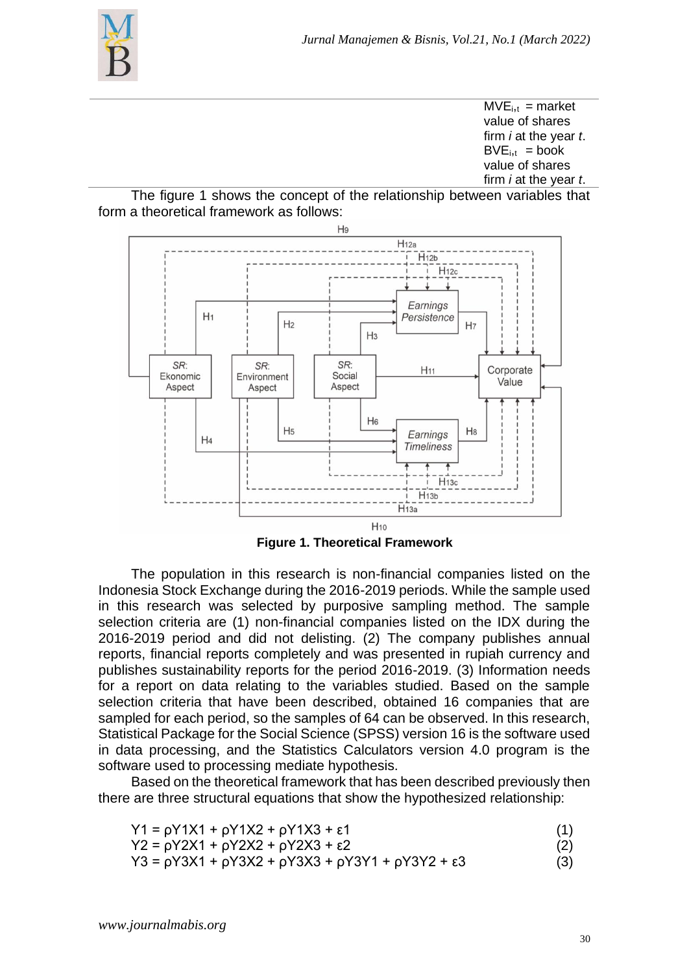

 $MVE<sub>i,t</sub> = market$ value of shares firm *i* at the year *t*.  $BVE<sub>i,t</sub> = book$ value of shares firm *i* at the year *t*.





**Figure 1. Theoretical Framework**

The population in this research is non-financial companies listed on the Indonesia Stock Exchange during the 2016-2019 periods. While the sample used in this research was selected by purposive sampling method. The sample selection criteria are (1) non-financial companies listed on the IDX during the 2016-2019 period and did not delisting. (2) The company publishes annual reports, financial reports completely and was presented in rupiah currency and publishes sustainability reports for the period 2016-2019. (3) Information needs for a report on data relating to the variables studied. Based on the sample selection criteria that have been described, obtained 16 companies that are sampled for each period, so the samples of 64 can be observed. In this research, Statistical Package for the Social Science (SPSS) version 16 is the software used in data processing, and the Statistics Calculators version 4.0 program is the software used to processing mediate hypothesis.

Based on the theoretical framework that has been described previously then there are three structural equations that show the hypothesized relationship:

| Y1 = ρY1X1 + ρY1X2 + ρY1X3 + ε1 |  |  |  |  |
|---------------------------------|--|--|--|--|
|---------------------------------|--|--|--|--|

| $Y2 = pY2X1 + pY2X2 + pY2X3 + \epsilon 2$ |  |
|-------------------------------------------|--|
|                                           |  |

$$
Y3 = pY3X1 + pY3X2 + pY3X3 + pY3Y1 + pY3Y2 + \epsilon 3
$$
 (3)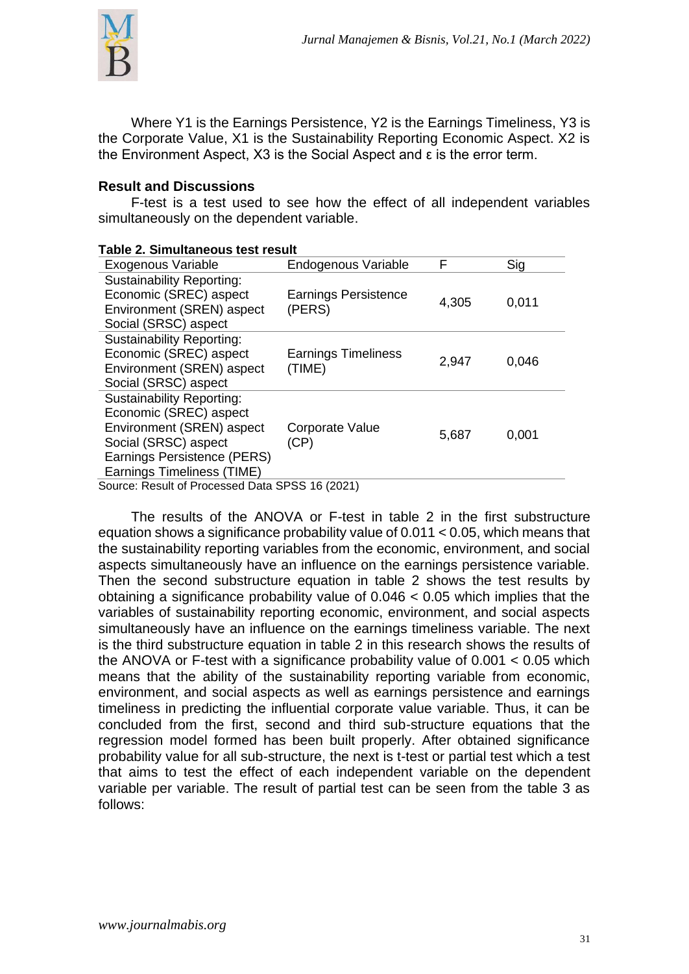

Where Y1 is the Earnings Persistence, Y2 is the Earnings Timeliness, Y3 is the Corporate Value, X1 is the Sustainability Reporting Economic Aspect. X2 is the Environment Aspect, X3 is the Social Aspect and ε is the error term.

### **Result and Discussions**

F-test is a test used to see how the effect of all independent variables simultaneously on the dependent variable.

| Table 2. Simultaneous test result                                                                                                                                                   |                                       |       |       |  |
|-------------------------------------------------------------------------------------------------------------------------------------------------------------------------------------|---------------------------------------|-------|-------|--|
| <b>Exogenous Variable</b>                                                                                                                                                           | Endogenous Variable                   | F     | Sig   |  |
| <b>Sustainability Reporting:</b><br>Economic (SREC) aspect<br>Environment (SREN) aspect<br>Social (SRSC) aspect                                                                     | <b>Earnings Persistence</b><br>(PERS) | 4,305 | 0,011 |  |
| <b>Sustainability Reporting:</b><br>Economic (SREC) aspect<br>Environment (SREN) aspect<br>Social (SRSC) aspect                                                                     | <b>Earnings Timeliness</b><br>(TIME)  | 2,947 | 0,046 |  |
| <b>Sustainability Reporting:</b><br>Economic (SREC) aspect<br>Environment (SREN) aspect<br>Social (SRSC) aspect<br>Earnings Persistence (PERS)<br><b>Earnings Timeliness (TIME)</b> | Corporate Value<br>(CP)               | 5,687 | 0,001 |  |
| Source: Result of Processed Data SPSS 16 (2021)                                                                                                                                     |                                       |       |       |  |

The results of the ANOVA or F-test in table 2 in the first substructure equation shows a significance probability value of 0.011 < 0.05, which means that the sustainability reporting variables from the economic, environment, and social aspects simultaneously have an influence on the earnings persistence variable. Then the second substructure equation in table 2 shows the test results by obtaining a significance probability value of 0.046 < 0.05 which implies that the variables of sustainability reporting economic, environment, and social aspects simultaneously have an influence on the earnings timeliness variable. The next is the third substructure equation in table 2 in this research shows the results of the ANOVA or F-test with a significance probability value of 0.001 < 0.05 which means that the ability of the sustainability reporting variable from economic, environment, and social aspects as well as earnings persistence and earnings timeliness in predicting the influential corporate value variable. Thus, it can be concluded from the first, second and third sub-structure equations that the regression model formed has been built properly. After obtained significance probability value for all sub-structure, the next is t-test or partial test which a test that aims to test the effect of each independent variable on the dependent variable per variable. The result of partial test can be seen from the table 3 as follows: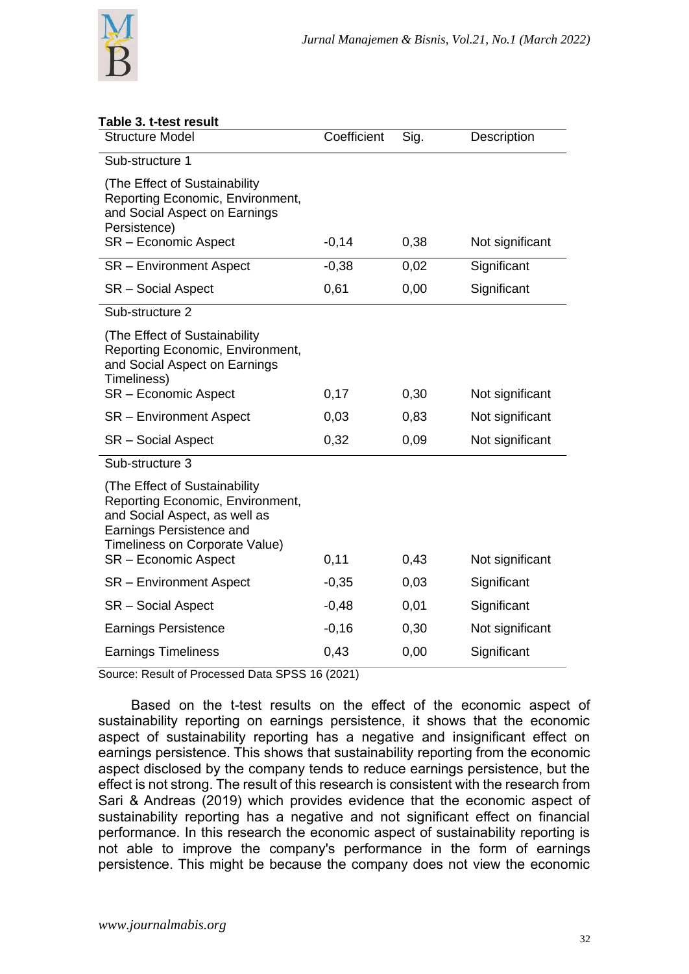

| Table 3. t-test result<br><b>Structure Model</b>                                                                                                                                         | Coefficient | Sig. | Description     |
|------------------------------------------------------------------------------------------------------------------------------------------------------------------------------------------|-------------|------|-----------------|
|                                                                                                                                                                                          |             |      |                 |
| Sub-structure 1                                                                                                                                                                          |             |      |                 |
| (The Effect of Sustainability)<br>Reporting Economic, Environment,<br>and Social Aspect on Earnings<br>Persistence)                                                                      |             |      |                 |
| <b>SR</b> - Economic Aspect                                                                                                                                                              | $-0,14$     | 0,38 | Not significant |
| <b>SR</b> – Environment Aspect                                                                                                                                                           | $-0,38$     | 0,02 | Significant     |
| SR - Social Aspect                                                                                                                                                                       | 0,61        | 0,00 | Significant     |
| Sub-structure 2                                                                                                                                                                          |             |      |                 |
| (The Effect of Sustainability<br>Reporting Economic, Environment,<br>and Social Aspect on Earnings<br>Timeliness)                                                                        |             |      |                 |
| SR - Economic Aspect                                                                                                                                                                     | 0,17        | 0,30 | Not significant |
| <b>SR</b> – Environment Aspect                                                                                                                                                           | 0,03        | 0,83 | Not significant |
| SR - Social Aspect                                                                                                                                                                       | 0,32        | 0,09 | Not significant |
| Sub-structure 3                                                                                                                                                                          |             |      |                 |
| (The Effect of Sustainability<br>Reporting Economic, Environment,<br>and Social Aspect, as well as<br>Earnings Persistence and<br>Timeliness on Corporate Value)<br>SR - Economic Aspect | 0,11        | 0,43 | Not significant |
| <b>SR</b> – Environment Aspect                                                                                                                                                           | $-0,35$     | 0,03 | Significant     |
| SR - Social Aspect                                                                                                                                                                       | $-0,48$     | 0,01 | Significant     |
| <b>Earnings Persistence</b>                                                                                                                                                              | $-0,16$     | 0,30 | Not significant |
| <b>Earnings Timeliness</b>                                                                                                                                                               | 0,43        | 0,00 | Significant     |

Source: Result of Processed Data SPSS 16 (2021)

Based on the t-test results on the effect of the economic aspect of sustainability reporting on earnings persistence, it shows that the economic aspect of sustainability reporting has a negative and insignificant effect on earnings persistence. This shows that sustainability reporting from the economic aspect disclosed by the company tends to reduce earnings persistence, but the effect is not strong. The result of this research is consistent with the research from Sari & Andreas (2019) which provides evidence that the economic aspect of sustainability reporting has a negative and not significant effect on financial performance. In this research the economic aspect of sustainability reporting is not able to improve the company's performance in the form of earnings persistence. This might be because the company does not view the economic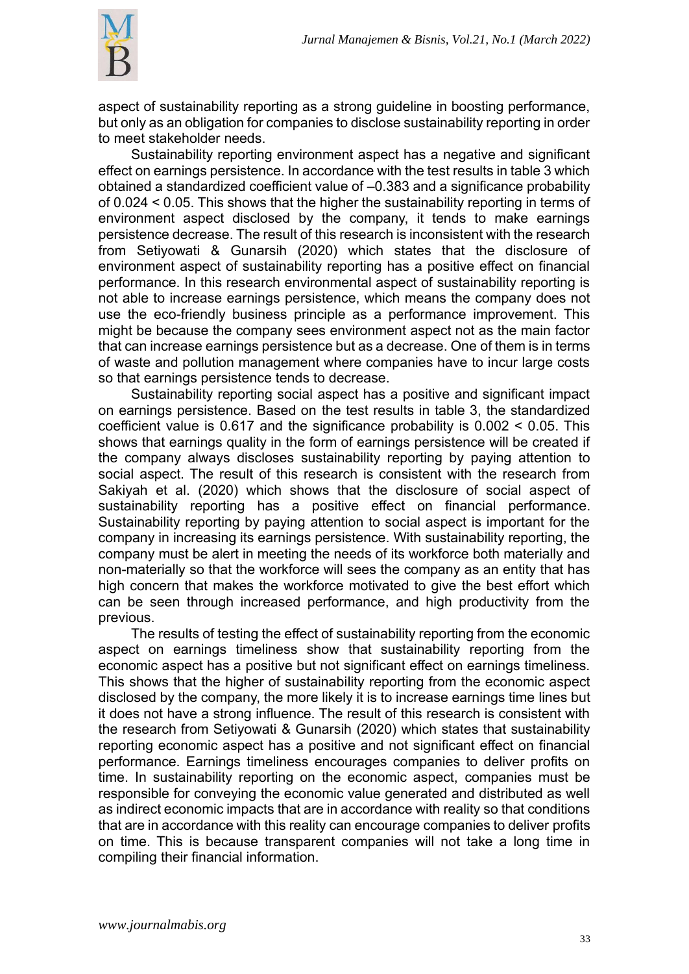

aspect of sustainability reporting as a strong guideline in boosting performance, but only as an obligation for companies to disclose sustainability reporting in order to meet stakeholder needs.

Sustainability reporting environment aspect has a negative and significant effect on earnings persistence. In accordance with the test results in table 3 which obtained a standardized coefficient value of –0.383 and a significance probability of 0.024 < 0.05. This shows that the higher the sustainability reporting in terms of environment aspect disclosed by the company, it tends to make earnings persistence decrease. The result of this research is inconsistent with the research from Setiyowati & Gunarsih (2020) which states that the disclosure of environment aspect of sustainability reporting has a positive effect on financial performance. In this research environmental aspect of sustainability reporting is not able to increase earnings persistence, which means the company does not use the eco-friendly business principle as a performance improvement. This might be because the company sees environment aspect not as the main factor that can increase earnings persistence but as a decrease. One of them is in terms of waste and pollution management where companies have to incur large costs so that earnings persistence tends to decrease.

Sustainability reporting social aspect has a positive and significant impact on earnings persistence. Based on the test results in table 3, the standardized coefficient value is 0.617 and the significance probability is 0.002 < 0.05. This shows that earnings quality in the form of earnings persistence will be created if the company always discloses sustainability reporting by paying attention to social aspect. The result of this research is consistent with the research from Sakiyah et al. (2020) which shows that the disclosure of social aspect of sustainability reporting has a positive effect on financial performance. Sustainability reporting by paying attention to social aspect is important for the company in increasing its earnings persistence. With sustainability reporting, the company must be alert in meeting the needs of its workforce both materially and non-materially so that the workforce will sees the company as an entity that has high concern that makes the workforce motivated to give the best effort which can be seen through increased performance, and high productivity from the previous.

The results of testing the effect of sustainability reporting from the economic aspect on earnings timeliness show that sustainability reporting from the economic aspect has a positive but not significant effect on earnings timeliness. This shows that the higher of sustainability reporting from the economic aspect disclosed by the company, the more likely it is to increase earnings time lines but it does not have a strong influence. The result of this research is consistent with the research from Setiyowati & Gunarsih (2020) which states that sustainability reporting economic aspect has a positive and not significant effect on financial performance. Earnings timeliness encourages companies to deliver profits on time. In sustainability reporting on the economic aspect, companies must be responsible for conveying the economic value generated and distributed as well as indirect economic impacts that are in accordance with reality so that conditions that are in accordance with this reality can encourage companies to deliver profits on time. This is because transparent companies will not take a long time in compiling their financial information.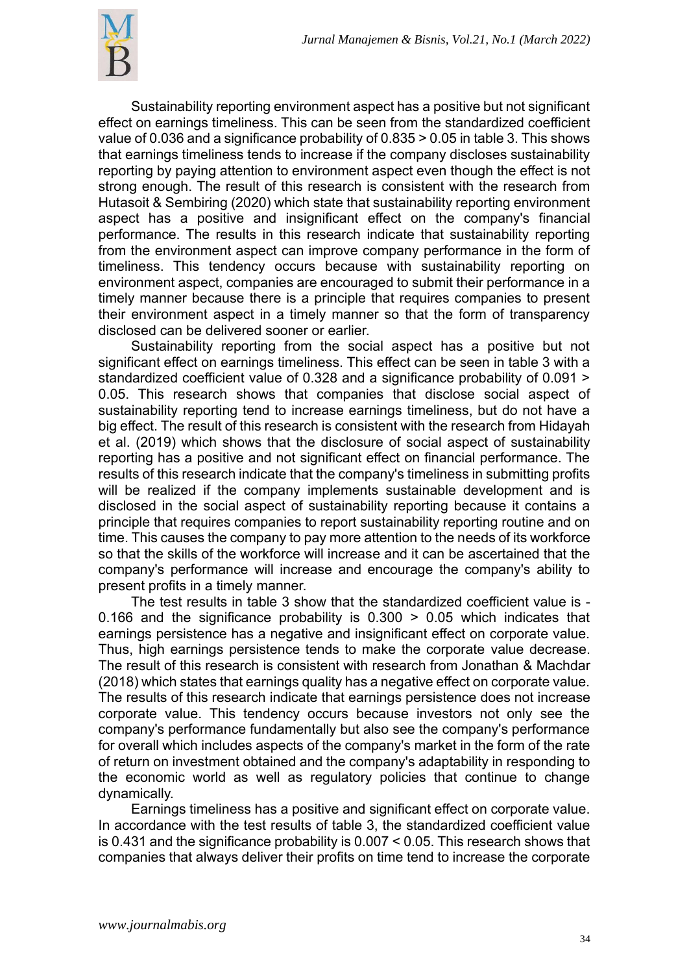

Sustainability reporting environment aspect has a positive but not significant effect on earnings timeliness. This can be seen from the standardized coefficient value of 0.036 and a significance probability of 0.835 > 0.05 in table 3. This shows that earnings timeliness tends to increase if the company discloses sustainability reporting by paying attention to environment aspect even though the effect is not strong enough. The result of this research is consistent with the research from Hutasoit & Sembiring (2020) which state that sustainability reporting environment aspect has a positive and insignificant effect on the company's financial performance. The results in this research indicate that sustainability reporting from the environment aspect can improve company performance in the form of timeliness. This tendency occurs because with sustainability reporting on environment aspect, companies are encouraged to submit their performance in a timely manner because there is a principle that requires companies to present their environment aspect in a timely manner so that the form of transparency disclosed can be delivered sooner or earlier.

Sustainability reporting from the social aspect has a positive but not significant effect on earnings timeliness. This effect can be seen in table 3 with a standardized coefficient value of 0.328 and a significance probability of 0.091 > 0.05. This research shows that companies that disclose social aspect of sustainability reporting tend to increase earnings timeliness, but do not have a big effect. The result of this research is consistent with the research from Hidayah et al. (2019) which shows that the disclosure of social aspect of sustainability reporting has a positive and not significant effect on financial performance. The results of this research indicate that the company's timeliness in submitting profits will be realized if the company implements sustainable development and is disclosed in the social aspect of sustainability reporting because it contains a principle that requires companies to report sustainability reporting routine and on time. This causes the company to pay more attention to the needs of its workforce so that the skills of the workforce will increase and it can be ascertained that the company's performance will increase and encourage the company's ability to present profits in a timely manner.

The test results in table 3 show that the standardized coefficient value is - 0.166 and the significance probability is  $0.300 > 0.05$  which indicates that earnings persistence has a negative and insignificant effect on corporate value. Thus, high earnings persistence tends to make the corporate value decrease. The result of this research is consistent with research from Jonathan & Machdar (2018) which states that earnings quality has a negative effect on corporate value. The results of this research indicate that earnings persistence does not increase corporate value. This tendency occurs because investors not only see the company's performance fundamentally but also see the company's performance for overall which includes aspects of the company's market in the form of the rate of return on investment obtained and the company's adaptability in responding to the economic world as well as regulatory policies that continue to change dynamically.

Earnings timeliness has a positive and significant effect on corporate value. In accordance with the test results of table 3, the standardized coefficient value is 0.431 and the significance probability is 0.007 < 0.05. This research shows that companies that always deliver their profits on time tend to increase the corporate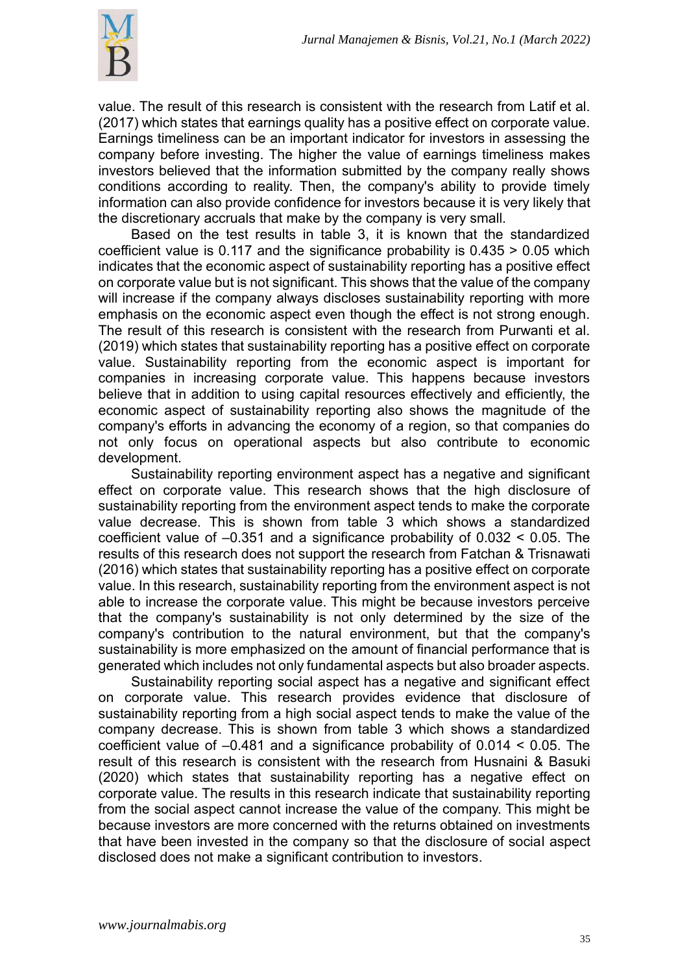

value. The result of this research is consistent with the research from Latif et al. (2017) which states that earnings quality has a positive effect on corporate value. Earnings timeliness can be an important indicator for investors in assessing the company before investing. The higher the value of earnings timeliness makes investors believed that the information submitted by the company really shows conditions according to reality. Then, the company's ability to provide timely information can also provide confidence for investors because it is very likely that the discretionary accruals that make by the company is very small.

Based on the test results in table 3, it is known that the standardized coefficient value is 0.117 and the significance probability is 0.435 > 0.05 which indicates that the economic aspect of sustainability reporting has a positive effect on corporate value but is not significant. This shows that the value of the company will increase if the company always discloses sustainability reporting with more emphasis on the economic aspect even though the effect is not strong enough. The result of this research is consistent with the research from Purwanti et al. (2019) which states that sustainability reporting has a positive effect on corporate value. Sustainability reporting from the economic aspect is important for companies in increasing corporate value. This happens because investors believe that in addition to using capital resources effectively and efficiently, the economic aspect of sustainability reporting also shows the magnitude of the company's efforts in advancing the economy of a region, so that companies do not only focus on operational aspects but also contribute to economic development.

Sustainability reporting environment aspect has a negative and significant effect on corporate value. This research shows that the high disclosure of sustainability reporting from the environment aspect tends to make the corporate value decrease. This is shown from table 3 which shows a standardized coefficient value of –0.351 and a significance probability of 0.032 < 0.05. The results of this research does not support the research from Fatchan & Trisnawati (2016) which states that sustainability reporting has a positive effect on corporate value. In this research, sustainability reporting from the environment aspect is not able to increase the corporate value. This might be because investors perceive that the company's sustainability is not only determined by the size of the company's contribution to the natural environment, but that the company's sustainability is more emphasized on the amount of financial performance that is generated which includes not only fundamental aspects but also broader aspects.

Sustainability reporting social aspect has a negative and significant effect on corporate value. This research provides evidence that disclosure of sustainability reporting from a high social aspect tends to make the value of the company decrease. This is shown from table 3 which shows a standardized coefficient value of –0.481 and a significance probability of 0.014 < 0.05. The result of this research is consistent with the research from Husnaini & Basuki (2020) which states that sustainability reporting has a negative effect on corporate value. The results in this research indicate that sustainability reporting from the social aspect cannot increase the value of the company. This might be because investors are more concerned with the returns obtained on investments that have been invested in the company so that the disclosure of social aspect disclosed does not make a significant contribution to investors.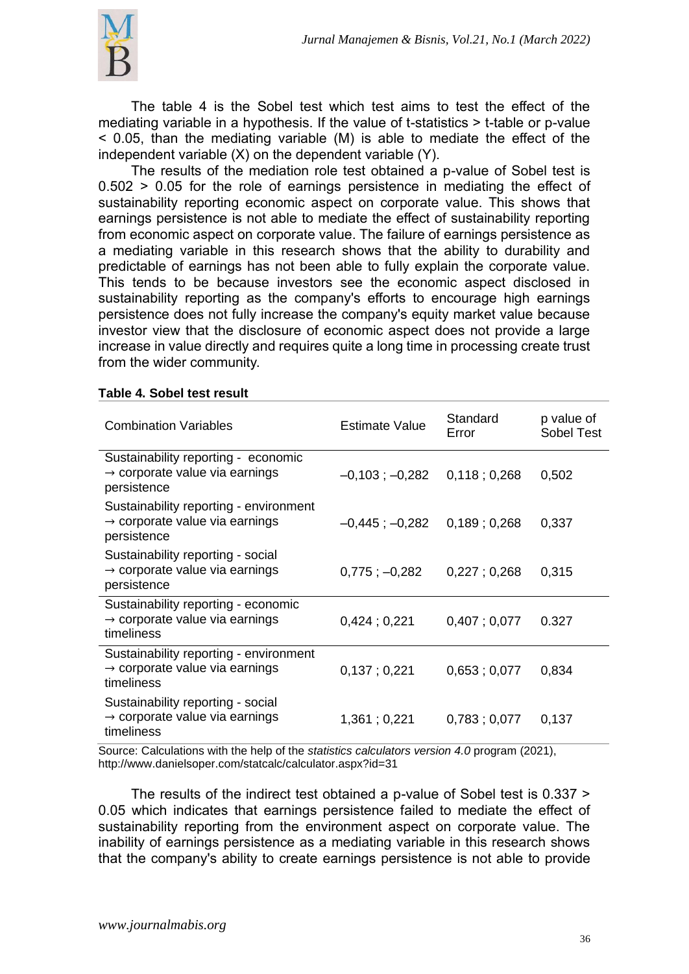

The table 4 is the Sobel test which test aims to test the effect of the mediating variable in a hypothesis. If the value of t-statistics > t-table or p-value < 0.05, than the mediating variable (M) is able to mediate the effect of the independent variable (X) on the dependent variable (Y).

The results of the mediation role test obtained a p-value of Sobel test is 0.502 > 0.05 for the role of earnings persistence in mediating the effect of sustainability reporting economic aspect on corporate value. This shows that earnings persistence is not able to mediate the effect of sustainability reporting from economic aspect on corporate value. The failure of earnings persistence as a mediating variable in this research shows that the ability to durability and predictable of earnings has not been able to fully explain the corporate value. This tends to be because investors see the economic aspect disclosed in sustainability reporting as the company's efforts to encourage high earnings persistence does not fully increase the company's equity market value because investor view that the disclosure of economic aspect does not provide a large increase in value directly and requires quite a long time in processing create trust from the wider community.

| <b>Combination Variables</b>                                                                        | Estimate Value      | Standard<br>Error | p value of<br>Sobel Test |
|-----------------------------------------------------------------------------------------------------|---------------------|-------------------|--------------------------|
| Sustainability reporting - economic<br>$\rightarrow$ corporate value via earnings<br>persistence    | $-0,103$ ; $-0,282$ | 0,118;0,268       | 0,502                    |
| Sustainability reporting - environment<br>$\rightarrow$ corporate value via earnings<br>persistence | $-0.445$ ; $-0.282$ | 0,189:0,268       | 0,337                    |
| Sustainability reporting - social<br>$\rightarrow$ corporate value via earnings<br>persistence      | $0,775; -0,282$     | 0,227;0,268       | 0,315                    |
| Sustainability reporting - economic<br>$\rightarrow$ corporate value via earnings<br>timeliness     | 0,424;0,221         | 0,407:0,077       | 0.327                    |
| Sustainability reporting - environment<br>$\rightarrow$ corporate value via earnings<br>timeliness  | 0,137;0,221         | 0,653;0,077       | 0,834                    |
| Sustainability reporting - social<br>$\rightarrow$ corporate value via earnings<br>timeliness       | 1,361;0,221         | 0,783;0,077       | 0,137                    |

#### **Table 4. Sobel test result**

Source: Calculations with the help of the *statistics calculators version 4.0* program (2021), <http://www.danielsoper.com/statcalc/calculator.aspx?id=31>

The results of the indirect test obtained a p-value of Sobel test is 0.337 > 0.05 which indicates that earnings persistence failed to mediate the effect of sustainability reporting from the environment aspect on corporate value. The inability of earnings persistence as a mediating variable in this research shows that the company's ability to create earnings persistence is not able to provide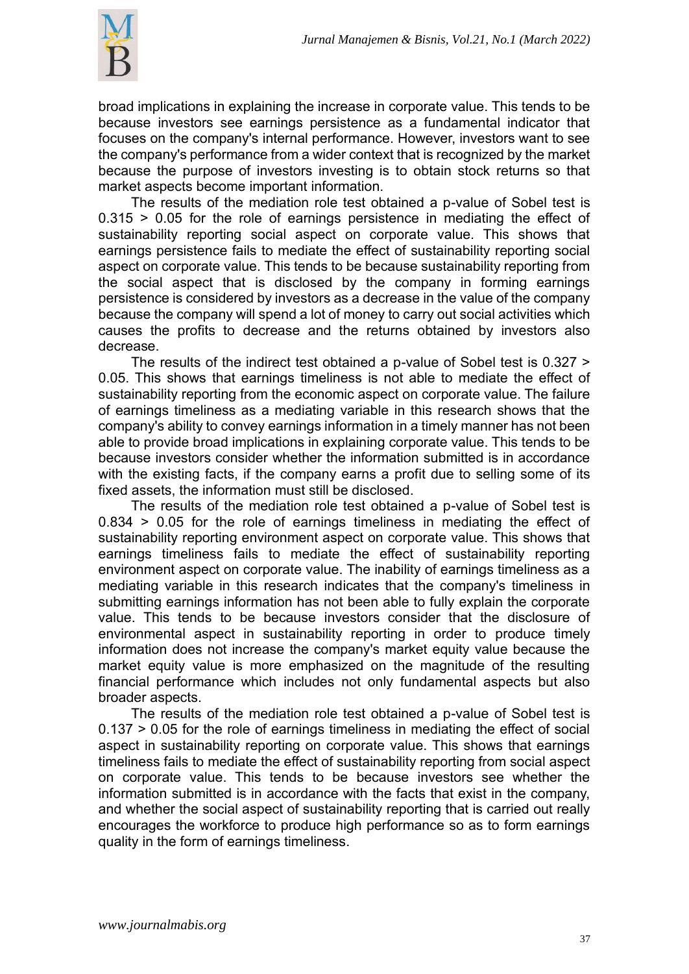

broad implications in explaining the increase in corporate value. This tends to be because investors see earnings persistence as a fundamental indicator that focuses on the company's internal performance. However, investors want to see the company's performance from a wider context that is recognized by the market because the purpose of investors investing is to obtain stock returns so that market aspects become important information.

The results of the mediation role test obtained a p-value of Sobel test is 0.315 > 0.05 for the role of earnings persistence in mediating the effect of sustainability reporting social aspect on corporate value. This shows that earnings persistence fails to mediate the effect of sustainability reporting social aspect on corporate value. This tends to be because sustainability reporting from the social aspect that is disclosed by the company in forming earnings persistence is considered by investors as a decrease in the value of the company because the company will spend a lot of money to carry out social activities which causes the profits to decrease and the returns obtained by investors also decrease.

The results of the indirect test obtained a p-value of Sobel test is 0.327 > 0.05. This shows that earnings timeliness is not able to mediate the effect of sustainability reporting from the economic aspect on corporate value. The failure of earnings timeliness as a mediating variable in this research shows that the company's ability to convey earnings information in a timely manner has not been able to provide broad implications in explaining corporate value. This tends to be because investors consider whether the information submitted is in accordance with the existing facts, if the company earns a profit due to selling some of its fixed assets, the information must still be disclosed.

The results of the mediation role test obtained a p-value of Sobel test is 0.834 > 0.05 for the role of earnings timeliness in mediating the effect of sustainability reporting environment aspect on corporate value. This shows that earnings timeliness fails to mediate the effect of sustainability reporting environment aspect on corporate value. The inability of earnings timeliness as a mediating variable in this research indicates that the company's timeliness in submitting earnings information has not been able to fully explain the corporate value. This tends to be because investors consider that the disclosure of environmental aspect in sustainability reporting in order to produce timely information does not increase the company's market equity value because the market equity value is more emphasized on the magnitude of the resulting financial performance which includes not only fundamental aspects but also broader aspects.

The results of the mediation role test obtained a p-value of Sobel test is 0.137 > 0.05 for the role of earnings timeliness in mediating the effect of social aspect in sustainability reporting on corporate value. This shows that earnings timeliness fails to mediate the effect of sustainability reporting from social aspect on corporate value. This tends to be because investors see whether the information submitted is in accordance with the facts that exist in the company, and whether the social aspect of sustainability reporting that is carried out really encourages the workforce to produce high performance so as to form earnings quality in the form of earnings timeliness.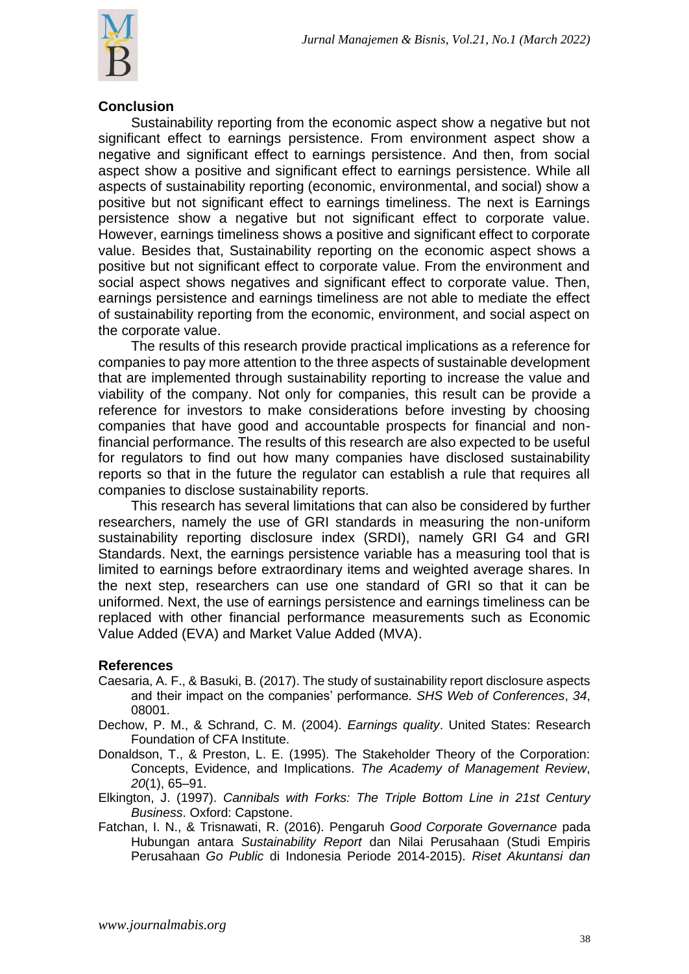

#### **Conclusion**

Sustainability reporting from the economic aspect show a negative but not significant effect to earnings persistence. From environment aspect show a negative and significant effect to earnings persistence. And then, from social aspect show a positive and significant effect to earnings persistence. While all aspects of sustainability reporting (economic, environmental, and social) show a positive but not significant effect to earnings timeliness. The next is Earnings persistence show a negative but not significant effect to corporate value. However, earnings timeliness shows a positive and significant effect to corporate value. Besides that, Sustainability reporting on the economic aspect shows a positive but not significant effect to corporate value. From the environment and social aspect shows negatives and significant effect to corporate value. Then, earnings persistence and earnings timeliness are not able to mediate the effect of sustainability reporting from the economic, environment, and social aspect on the corporate value.

The results of this research provide practical implications as a reference for companies to pay more attention to the three aspects of sustainable development that are implemented through sustainability reporting to increase the value and viability of the company. Not only for companies, this result can be provide a reference for investors to make considerations before investing by choosing companies that have good and accountable prospects for financial and nonfinancial performance. The results of this research are also expected to be useful for regulators to find out how many companies have disclosed sustainability reports so that in the future the regulator can establish a rule that requires all companies to disclose sustainability reports.

This research has several limitations that can also be considered by further researchers, namely the use of GRI standards in measuring the non-uniform sustainability reporting disclosure index (SRDI), namely GRI G4 and GRI Standards. Next, the earnings persistence variable has a measuring tool that is limited to earnings before extraordinary items and weighted average shares. In the next step, researchers can use one standard of GRI so that it can be uniformed. Next, the use of earnings persistence and earnings timeliness can be replaced with other financial performance measurements such as Economic Value Added (EVA) and Market Value Added (MVA).

# **References**

- Caesaria, A. F., & Basuki, B. (2017). The study of sustainability report disclosure aspects and their impact on the companies' performance. *SHS Web of Conferences*, *34*, 08001.
- Dechow, P. M., & Schrand, C. M. (2004). *Earnings quality*. United States: Research Foundation of CFA Institute.
- Donaldson, T., & Preston, L. E. (1995). The Stakeholder Theory of the Corporation: Concepts, Evidence, and Implications. *The Academy of Management Review*, *20*(1), 65–91.
- Elkington, J. (1997). *Cannibals with Forks: The Triple Bottom Line in 21st Century Business*. Oxford: Capstone.
- Fatchan, I. N., & Trisnawati, R. (2016). Pengaruh *Good Corporate Governance* pada Hubungan antara *Sustainability Report* dan Nilai Perusahaan (Studi Empiris Perusahaan *Go Public* di Indonesia Periode 2014-2015). *Riset Akuntansi dan*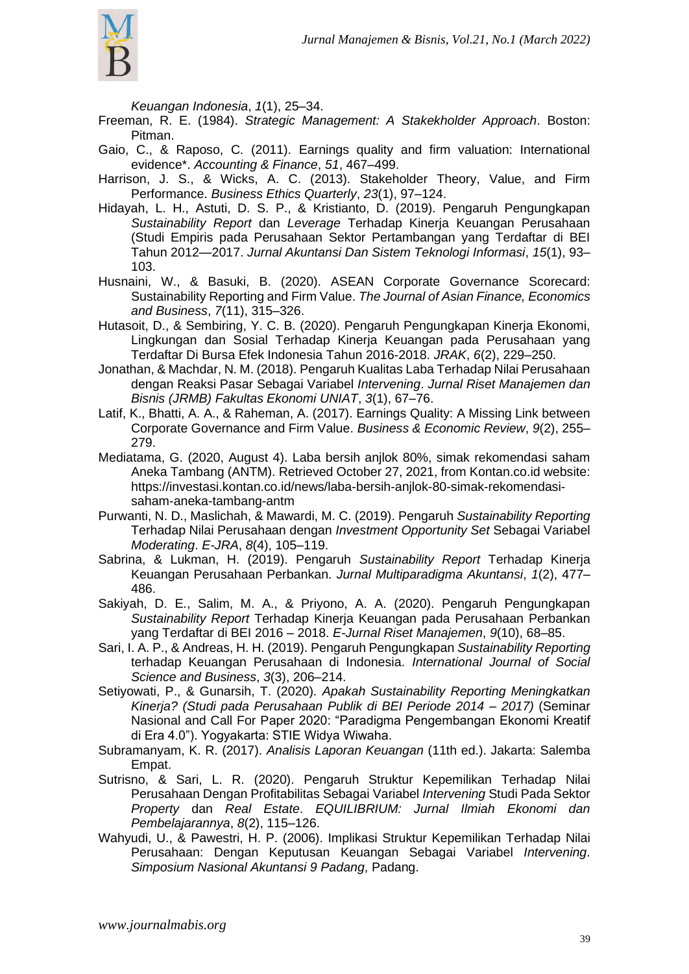

*Keuangan Indonesia*, *1*(1), 25–34.

- Freeman, R. E. (1984). *Strategic Management: A Stakekholder Approach*. Boston: Pitman.
- Gaio, C., & Raposo, C. (2011). Earnings quality and firm valuation: International evidence\*. *Accounting & Finance*, *51*, 467–499.
- Harrison, J. S., & Wicks, A. C. (2013). Stakeholder Theory, Value, and Firm Performance. *Business Ethics Quarterly*, *23*(1), 97–124.
- Hidayah, L. H., Astuti, D. S. P., & Kristianto, D. (2019). Pengaruh Pengungkapan *Sustainability Report* dan *Leverage* Terhadap Kinerja Keuangan Perusahaan (Studi Empiris pada Perusahaan Sektor Pertambangan yang Terdaftar di BEI Tahun 2012—2017. *Jurnal Akuntansi Dan Sistem Teknologi Informasi*, *15*(1), 93– 103.
- Husnaini, W., & Basuki, B. (2020). ASEAN Corporate Governance Scorecard: Sustainability Reporting and Firm Value. *The Journal of Asian Finance, Economics and Business*, *7*(11), 315–326.
- Hutasoit, D., & Sembiring, Y. C. B. (2020). Pengaruh Pengungkapan Kinerja Ekonomi, Lingkungan dan Sosial Terhadap Kinerja Keuangan pada Perusahaan yang Terdaftar Di Bursa Efek Indonesia Tahun 2016-2018. *JRAK*, *6*(2), 229–250.
- Jonathan, & Machdar, N. M. (2018). Pengaruh Kualitas Laba Terhadap Nilai Perusahaan dengan Reaksi Pasar Sebagai Variabel *Intervening*. *Jurnal Riset Manajemen dan Bisnis (JRMB) Fakultas Ekonomi UNIAT*, *3*(1), 67–76.
- Latif, K., Bhatti, A. A., & Raheman, A. (2017). Earnings Quality: A Missing Link between Corporate Governance and Firm Value. *Business & Economic Review*, *9*(2), 255– 279.
- Mediatama, G. (2020, August 4). Laba bersih anjlok 80%, simak rekomendasi saham Aneka Tambang (ANTM). Retrieved October 27, 2021, from Kontan.co.id website: https://investasi.kontan.co.id/news/laba-bersih-anjlok-80-simak-rekomendasisaham-aneka-tambang-antm
- Purwanti, N. D., Maslichah, & Mawardi, M. C. (2019). Pengaruh *Sustainability Reporting* Terhadap Nilai Perusahaan dengan *Investment Opportunity Set* Sebagai Variabel *Moderating*. *E-JRA*, *8*(4), 105–119.
- Sabrina, & Lukman, H. (2019). Pengaruh *Sustainability Report* Terhadap Kinerja Keuangan Perusahaan Perbankan. *Jurnal Multiparadigma Akuntansi*, *1*(2), 477– 486.
- Sakiyah, D. E., Salim, M. A., & Priyono, A. A. (2020). Pengaruh Pengungkapan *Sustainability Report* Terhadap Kinerja Keuangan pada Perusahaan Perbankan yang Terdaftar di BEI 2016 – 2018. *E-Jurnal Riset Manajemen*, *9*(10), 68–85.
- Sari, I. A. P., & Andreas, H. H. (2019). Pengaruh Pengungkapan *Sustainability Reporting* terhadap Keuangan Perusahaan di Indonesia. *International Journal of Social Science and Business*, *3*(3), 206–214.
- Setiyowati, P., & Gunarsih, T. (2020). *Apakah Sustainability Reporting Meningkatkan Kinerja? (Studi pada Perusahaan Publik di BEI Periode 2014 – 2017)* (Seminar Nasional and Call For Paper 2020: "Paradigma Pengembangan Ekonomi Kreatif di Era 4.0"). Yogyakarta: STIE Widya Wiwaha.
- Subramanyam, K. R. (2017). *Analisis Laporan Keuangan* (11th ed.). Jakarta: Salemba Empat.
- Sutrisno, & Sari, L. R. (2020). Pengaruh Struktur Kepemilikan Terhadap Nilai Perusahaan Dengan Profitabilitas Sebagai Variabel *Intervening* Studi Pada Sektor *Property* dan *Real Estate*. *EQUILIBRIUM: Jurnal Ilmiah Ekonomi dan Pembelajarannya*, *8*(2), 115–126.
- Wahyudi, U., & Pawestri, H. P. (2006). Implikasi Struktur Kepemilikan Terhadap Nilai Perusahaan: Dengan Keputusan Keuangan Sebagai Variabel *Intervening*. *Simposium Nasional Akuntansi 9 Padang*, Padang.